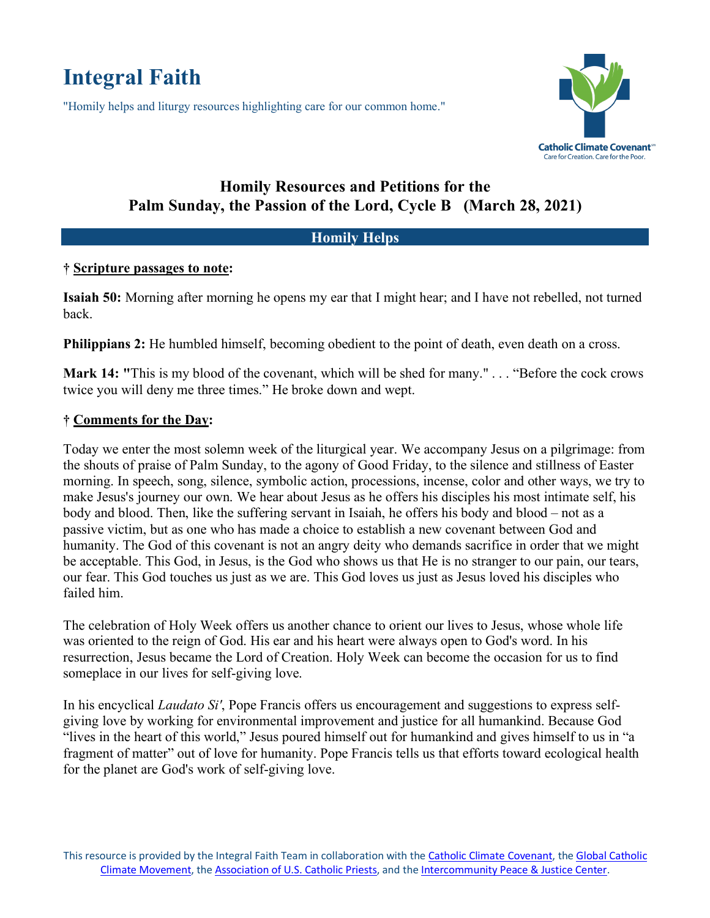# **Integral Faith**

"Homily helps and liturgy resources highlighting care for our common home."



## **Homily Resources and Petitions for the Palm Sunday, the Passion of the Lord, Cycle B (March 28, 2021)**

### **Homily Helps**

#### **† Scripture passages to note:**

**Isaiah 50:** Morning after morning he opens my ear that I might hear; and I have not rebelled, not turned back.

**Philippians 2:** He humbled himself, becoming obedient to the point of death, even death on a cross.

**Mark 14: "**This is my blood of the covenant, which will be shed for many." . . . "Before the cock crows twice you will deny me three times." He broke down and wept.

#### **† Comments for the Day:**

Today we enter the most solemn week of the liturgical year. We accompany Jesus on a pilgrimage: from the shouts of praise of Palm Sunday, to the agony of Good Friday, to the silence and stillness of Easter morning. In speech, song, silence, symbolic action, processions, incense, color and other ways, we try to make Jesus's journey our own. We hear about Jesus as he offers his disciples his most intimate self, his body and blood. Then, like the suffering servant in Isaiah, he offers his body and blood – not as a passive victim, but as one who has made a choice to establish a new covenant between God and humanity. The God of this covenant is not an angry deity who demands sacrifice in order that we might be acceptable. This God, in Jesus, is the God who shows us that He is no stranger to our pain, our tears, our fear. This God touches us just as we are. This God loves us just as Jesus loved his disciples who failed him.

The celebration of Holy Week offers us another chance to orient our lives to Jesus, whose whole life was oriented to the reign of God. His ear and his heart were always open to God's word. In his resurrection, Jesus became the Lord of Creation. Holy Week can become the occasion for us to find someplace in our lives for self-giving love.

In his encyclical *Laudato Si'*, Pope Francis offers us encouragement and suggestions to express selfgiving love by working for environmental improvement and justice for all humankind. Because God "lives in the heart of this world," Jesus poured himself out for humankind and gives himself to us in "a fragment of matter" out of love for humanity. Pope Francis tells us that efforts toward ecological health for the planet are God's work of self-giving love.